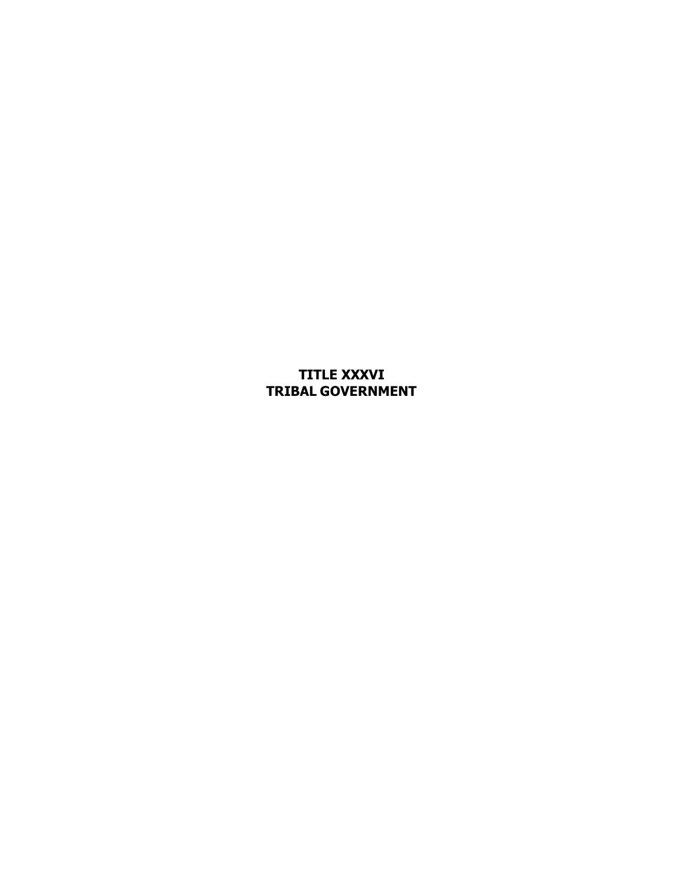**TITLE XXXVI TRIBAL GOVERNMENT**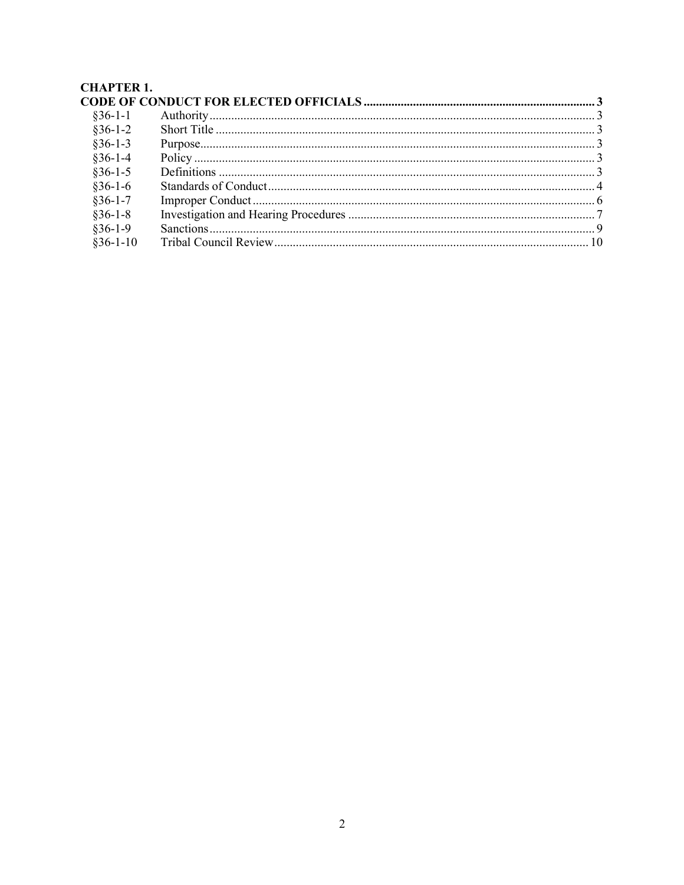# **CHAPTER 1.**

| $§36-1-1$  |  |
|------------|--|
| $§36-1-2$  |  |
| $§36-1-3$  |  |
| $§36-1-4$  |  |
| $§36-1-5$  |  |
| $$36-1-6$  |  |
| $§36-1-7$  |  |
| $§36-1-8$  |  |
| $§36-1-9$  |  |
| $$36-1-10$ |  |
|            |  |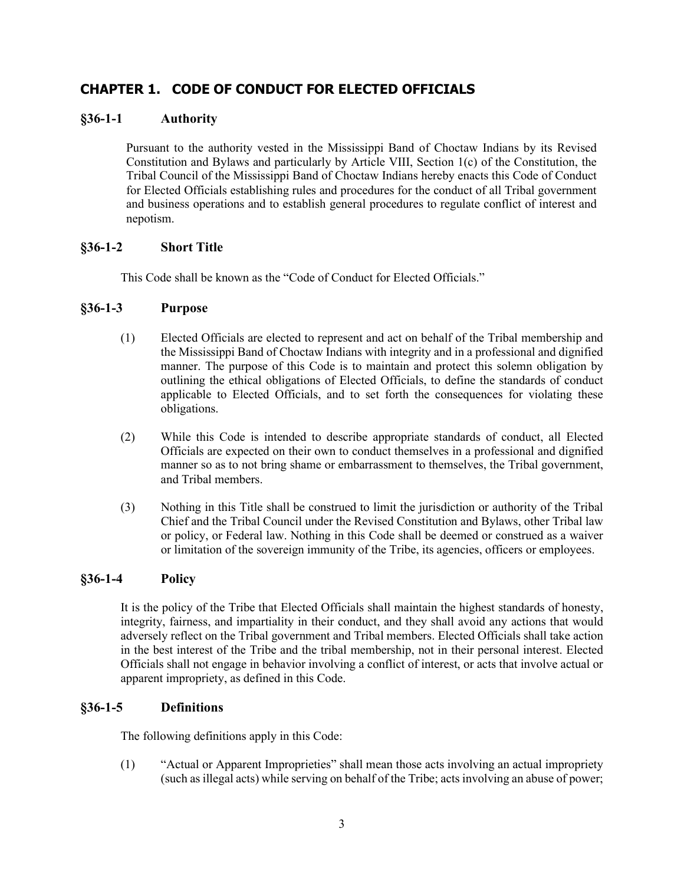# **CHAPTER 1. CODE OF CONDUCT FOR ELECTED OFFICIALS**

# **§36-1-1 Authority**

Pursuant to the authority vested in the Mississippi Band of Choctaw Indians by its Revised Constitution and Bylaws and particularly by Article VIII, Section 1(c) of the Constitution, the Tribal Council of the Mississippi Band of Choctaw Indians hereby enacts this Code of Conduct for Elected Officials establishing rules and procedures for the conduct of all Tribal government and business operations and to establish general procedures to regulate conflict of interest and nepotism.

# **§36-1-2 Short Title**

This Code shall be known as the "Code of Conduct for Elected Officials."

# **§36-1-3 Purpose**

- (1) Elected Officials are elected to represent and act on behalf of the Tribal membership and the Mississippi Band of Choctaw Indians with integrity and in a professional and dignified manner. The purpose of this Code is to maintain and protect this solemn obligation by outlining the ethical obligations of Elected Officials, to define the standards of conduct applicable to Elected Officials, and to set forth the consequences for violating these obligations.
- (2) While this Code is intended to describe appropriate standards of conduct, all Elected Officials are expected on their own to conduct themselves in a professional and dignified manner so as to not bring shame or embarrassment to themselves, the Tribal government, and Tribal members.
- (3) Nothing in this Title shall be construed to limit the jurisdiction or authority of the Tribal Chief and the Tribal Council under the Revised Constitution and Bylaws, other Tribal law or policy, or Federal law. Nothing in this Code shall be deemed or construed as a waiver or limitation of the sovereign immunity of the Tribe, its agencies, officers or employees.

# **§36-1-4 Policy**

It is the policy of the Tribe that Elected Officials shall maintain the highest standards of honesty, integrity, fairness, and impartiality in their conduct, and they shall avoid any actions that would adversely reflect on the Tribal government and Tribal members. Elected Officials shall take action in the best interest of the Tribe and the tribal membership, not in their personal interest. Elected Officials shall not engage in behavior involving a conflict of interest, or acts that involve actual or apparent impropriety, as defined in this Code.

# **§36-1-5 Definitions**

The following definitions apply in this Code:

(1) "Actual or Apparent Improprieties" shall mean those acts involving an actual impropriety (such as illegal acts) while serving on behalf of the Tribe; acts involving an abuse of power;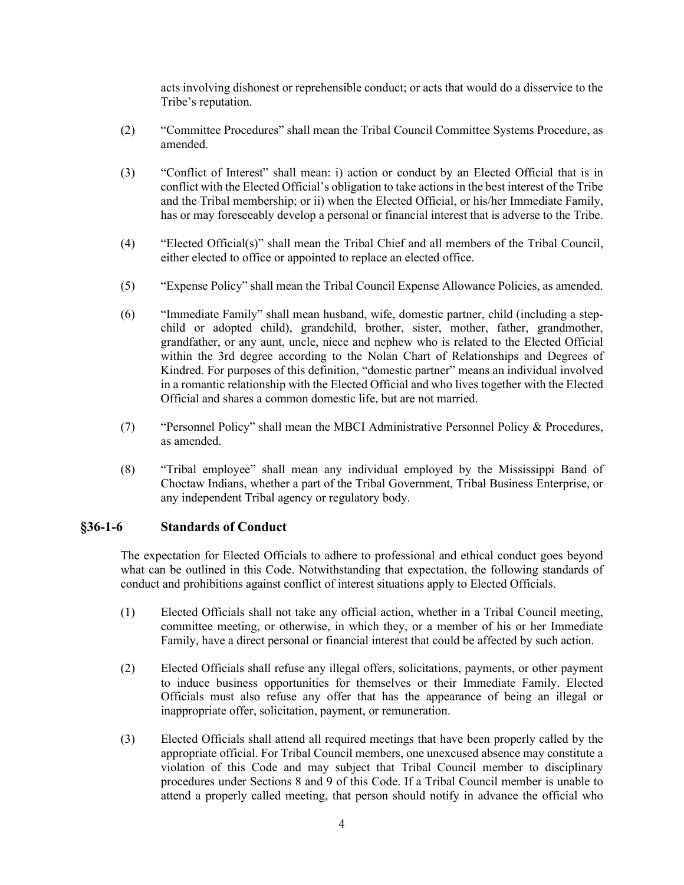acts involving dishonest or reprehensible conduct; or acts that would do a disservice to the Tribe's reputation.

- (2) "Committee Procedures" shall mean the Tribal Council Committee Systems Procedure, as amended.
- (3) "Conflict of Interest" shall mean: i) action or conduct by an Elected Official that is in conflict with the Elected Official's obligation to take actions in the best interest of the Tribe and the Tribal membership; or ii) when the Elected Official, or his/her Immediate Family, has or may foreseeably develop a personal or financial interest that is adverse to the Tribe.
- (4) "Elected Official(s)" shall mean the Tribal Chief and all members of the Tribal Council, either elected to office or appointed to replace an elected office.
- (5) "Expense Policy" shall mean the Tribal Council Expense Allowance Policies, as amended.
- (6) "Immediate Family" shall mean husband, wife, domestic partner, child (including a stepchild or adopted child), grandchild, brother, sister, mother, father, grandmother, grandfather, or any aunt, uncle, niece and nephew who is related to the Elected Official within the 3rd degree according to the Nolan Chart of Relationships and Degrees of Kindred. For purposes of this definition, "domestic partner" means an individual involved in a romantic relationship with the Elected Official and who lives together with the Elected Official and shares a common domestic life, but are not married.
- (7) "Personnel Policy" shall mean the MBCI Administrative Personnel Policy & Procedures, as amended.
- (8) "Tribal employee" shall mean any individual employed by the Mississippi Band of Choctaw Indians, whether a part of the Tribal Government, Tribal Business Enterprise, or any independent Tribal agency or regulatory body.

#### **§36-1-6 Standards of Conduct**

The expectation for Elected Officials to adhere to professional and ethical conduct goes beyond what can be outlined in this Code. Notwithstanding that expectation, the following standards of conduct and prohibitions against conflict of interest situations apply to Elected Officials.

- (1) Elected Officials shall not take any official action, whether in a Tribal Council meeting, committee meeting, or otherwise, in which they, or a member of his or her Immediate Family, have a direct personal or financial interest that could be affected by such action.
- (2) Elected Officials shall refuse any illegal offers, solicitations, payments, or other payment to induce business opportunities for themselves or their Immediate Family. Elected Officials must also refuse any offer that has the appearance of being an illegal or inappropriate offer, solicitation, payment, or remuneration.
- (3) Elected Officials shall attend all required meetings that have been properly called by the appropriate official. For Tribal Council members, one unexcused absence may constitute a violation of this Code and may subject that Tribal Council member to disciplinary procedures under Sections 8 and 9 of this Code. If a Tribal Council member is unable to attend a properly called meeting, that person should notify in advance the official who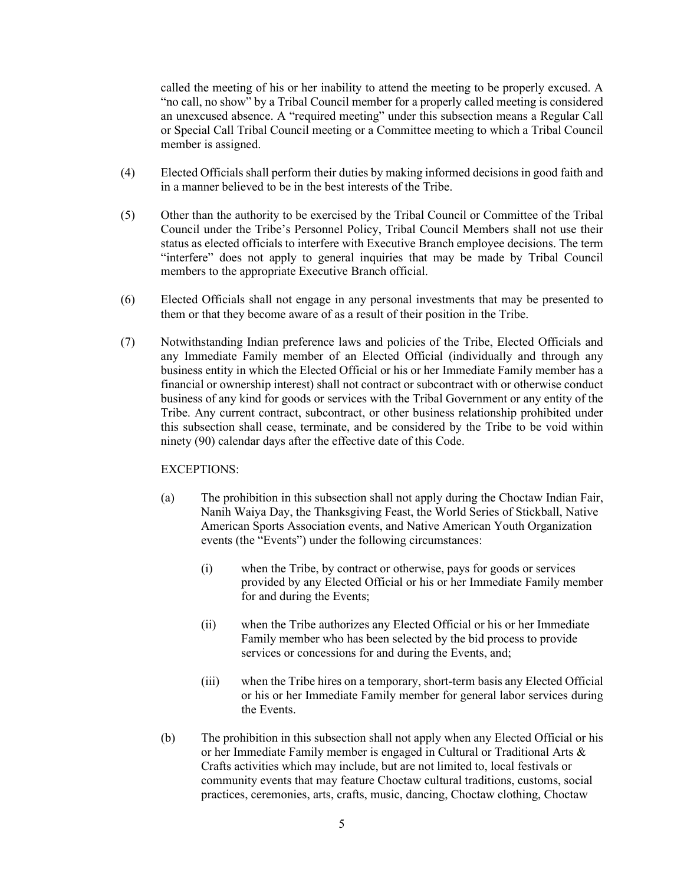called the meeting of his or her inability to attend the meeting to be properly excused. A "no call, no show" by a Tribal Council member for a properly called meeting is considered an unexcused absence. A "required meeting" under this subsection means a Regular Call or Special Call Tribal Council meeting or a Committee meeting to which a Tribal Council member is assigned.

- (4) Elected Officials shall perform their duties by making informed decisions in good faith and in a manner believed to be in the best interests of the Tribe.
- (5) Other than the authority to be exercised by the Tribal Council or Committee of the Tribal Council under the Tribe's Personnel Policy, Tribal Council Members shall not use their status as elected officials to interfere with Executive Branch employee decisions. The term "interfere" does not apply to general inquiries that may be made by Tribal Council members to the appropriate Executive Branch official.
- (6) Elected Officials shall not engage in any personal investments that may be presented to them or that they become aware of as a result of their position in the Tribe.
- (7) Notwithstanding Indian preference laws and policies of the Tribe, Elected Officials and any Immediate Family member of an Elected Official (individually and through any business entity in which the Elected Official or his or her Immediate Family member has a financial or ownership interest) shall not contract or subcontract with or otherwise conduct business of any kind for goods or services with the Tribal Government or any entity of the Tribe. Any current contract, subcontract, or other business relationship prohibited under this subsection shall cease, terminate, and be considered by the Tribe to be void within ninety (90) calendar days after the effective date of this Code.

#### EXCEPTIONS:

- (a) The prohibition in this subsection shall not apply during the Choctaw Indian Fair, Nanih Waiya Day, the Thanksgiving Feast, the World Series of Stickball, Native American Sports Association events, and Native American Youth Organization events (the "Events") under the following circumstances:
	- (i) when the Tribe, by contract or otherwise, pays for goods or services provided by any Elected Official or his or her Immediate Family member for and during the Events;
	- (ii) when the Tribe authorizes any Elected Official or his or her Immediate Family member who has been selected by the bid process to provide services or concessions for and during the Events, and;
	- (iii) when the Tribe hires on a temporary, short-term basis any Elected Official or his or her Immediate Family member for general labor services during the Events.
- (b) The prohibition in this subsection shall not apply when any Elected Official or his or her Immediate Family member is engaged in Cultural or Traditional Arts & Crafts activities which may include, but are not limited to, local festivals or community events that may feature Choctaw cultural traditions, customs, social practices, ceremonies, arts, crafts, music, dancing, Choctaw clothing, Choctaw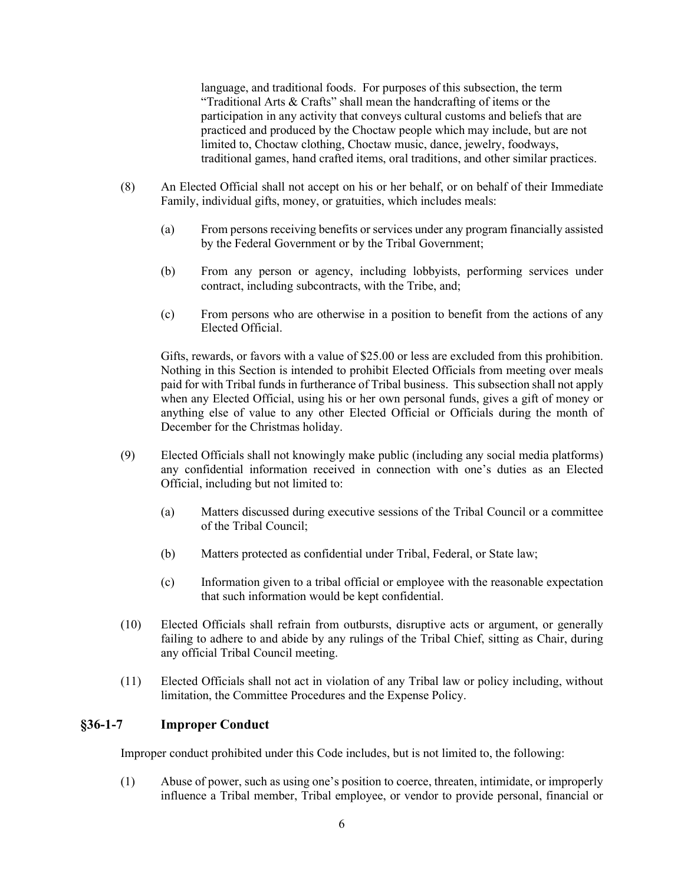language, and traditional foods. For purposes of this subsection, the term "Traditional Arts & Crafts" shall mean the handcrafting of items or the participation in any activity that conveys cultural customs and beliefs that are practiced and produced by the Choctaw people which may include, but are not limited to, Choctaw clothing, Choctaw music, dance, jewelry, foodways, traditional games, hand crafted items, oral traditions, and other similar practices.

- (8) An Elected Official shall not accept on his or her behalf, or on behalf of their Immediate Family, individual gifts, money, or gratuities, which includes meals:
	- (a) From persons receiving benefits or services under any program financially assisted by the Federal Government or by the Tribal Government;
	- (b) From any person or agency, including lobbyists, performing services under contract, including subcontracts, with the Tribe, and;
	- (c) From persons who are otherwise in a position to benefit from the actions of any Elected Official.

Gifts, rewards, or favors with a value of \$25.00 or less are excluded from this prohibition. Nothing in this Section is intended to prohibit Elected Officials from meeting over meals paid for with Tribal funds in furtherance of Tribal business. This subsection shall not apply when any Elected Official, using his or her own personal funds, gives a gift of money or anything else of value to any other Elected Official or Officials during the month of December for the Christmas holiday.

- (9) Elected Officials shall not knowingly make public (including any social media platforms) any confidential information received in connection with one's duties as an Elected Official, including but not limited to:
	- (a) Matters discussed during executive sessions of the Tribal Council or a committee of the Tribal Council;
	- (b) Matters protected as confidential under Tribal, Federal, or State law;
	- (c) Information given to a tribal official or employee with the reasonable expectation that such information would be kept confidential.
- (10) Elected Officials shall refrain from outbursts, disruptive acts or argument, or generally failing to adhere to and abide by any rulings of the Tribal Chief, sitting as Chair, during any official Tribal Council meeting.
- (11) Elected Officials shall not act in violation of any Tribal law or policy including, without limitation, the Committee Procedures and the Expense Policy.

### **§36-1-7 Improper Conduct**

Improper conduct prohibited under this Code includes, but is not limited to, the following:

(1) Abuse of power, such as using one's position to coerce, threaten, intimidate, or improperly influence a Tribal member, Tribal employee, or vendor to provide personal, financial or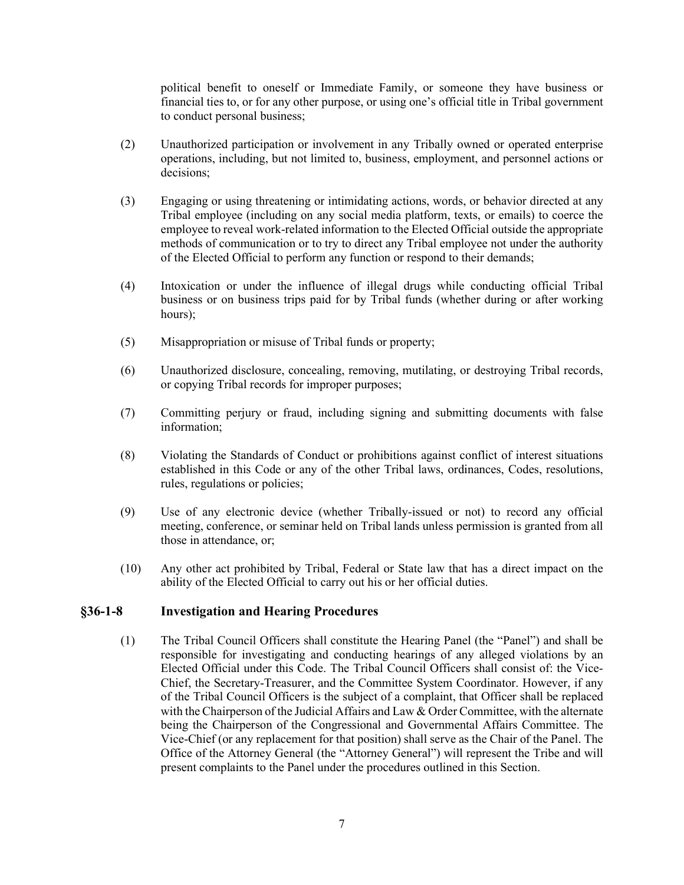political benefit to oneself or Immediate Family, or someone they have business or financial ties to, or for any other purpose, or using one's official title in Tribal government to conduct personal business;

- (2) Unauthorized participation or involvement in any Tribally owned or operated enterprise operations, including, but not limited to, business, employment, and personnel actions or decisions;
- (3) Engaging or using threatening or intimidating actions, words, or behavior directed at any Tribal employee (including on any social media platform, texts, or emails) to coerce the employee to reveal work-related information to the Elected Official outside the appropriate methods of communication or to try to direct any Tribal employee not under the authority of the Elected Official to perform any function or respond to their demands;
- (4) Intoxication or under the influence of illegal drugs while conducting official Tribal business or on business trips paid for by Tribal funds (whether during or after working hours);
- (5) Misappropriation or misuse of Tribal funds or property;
- (6) Unauthorized disclosure, concealing, removing, mutilating, or destroying Tribal records, or copying Tribal records for improper purposes;
- (7) Committing perjury or fraud, including signing and submitting documents with false information;
- (8) Violating the Standards of Conduct or prohibitions against conflict of interest situations established in this Code or any of the other Tribal laws, ordinances, Codes, resolutions, rules, regulations or policies;
- (9) Use of any electronic device (whether Tribally-issued or not) to record any official meeting, conference, or seminar held on Tribal lands unless permission is granted from all those in attendance, or;
- (10) Any other act prohibited by Tribal, Federal or State law that has a direct impact on the ability of the Elected Official to carry out his or her official duties.

#### **§36-1-8 Investigation and Hearing Procedures**

(1) The Tribal Council Officers shall constitute the Hearing Panel (the "Panel") and shall be responsible for investigating and conducting hearings of any alleged violations by an Elected Official under this Code. The Tribal Council Officers shall consist of: the Vice-Chief, the Secretary-Treasurer, and the Committee System Coordinator. However, if any of the Tribal Council Officers is the subject of a complaint, that Officer shall be replaced with the Chairperson of the Judicial Affairs and Law  $&$  Order Committee, with the alternate being the Chairperson of the Congressional and Governmental Affairs Committee. The Vice-Chief (or any replacement for that position) shall serve as the Chair of the Panel. The Office of the Attorney General (the "Attorney General") will represent the Tribe and will present complaints to the Panel under the procedures outlined in this Section.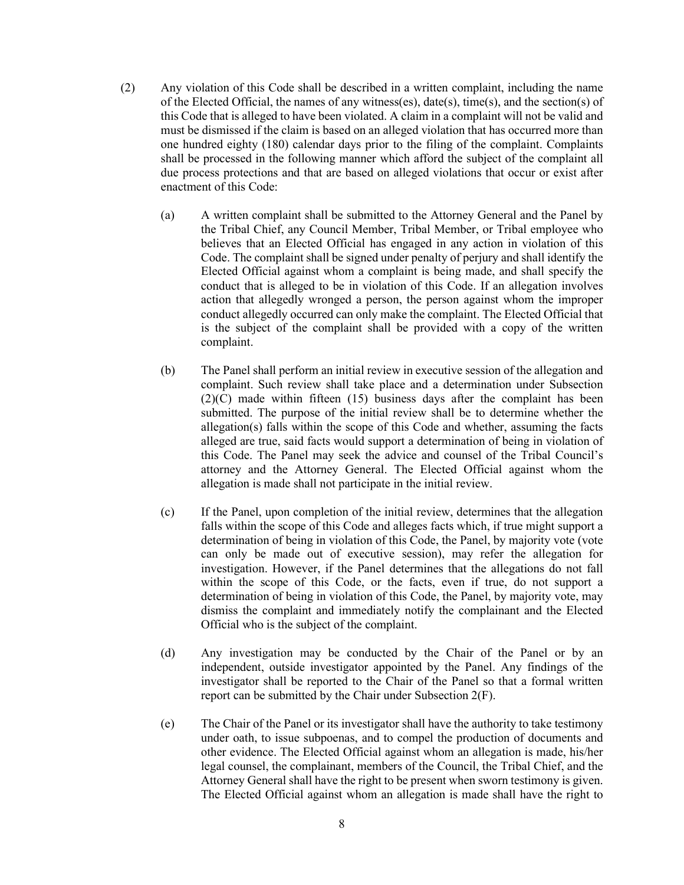- (2) Any violation of this Code shall be described in a written complaint, including the name of the Elected Official, the names of any witness(es), date(s), time(s), and the section(s) of this Code that is alleged to have been violated. A claim in a complaint will not be valid and must be dismissed if the claim is based on an alleged violation that has occurred more than one hundred eighty (180) calendar days prior to the filing of the complaint. Complaints shall be processed in the following manner which afford the subject of the complaint all due process protections and that are based on alleged violations that occur or exist after enactment of this Code:
	- (a) A written complaint shall be submitted to the Attorney General and the Panel by the Tribal Chief, any Council Member, Tribal Member, or Tribal employee who believes that an Elected Official has engaged in any action in violation of this Code. The complaint shall be signed under penalty of perjury and shall identify the Elected Official against whom a complaint is being made, and shall specify the conduct that is alleged to be in violation of this Code. If an allegation involves action that allegedly wronged a person, the person against whom the improper conduct allegedly occurred can only make the complaint. The Elected Official that is the subject of the complaint shall be provided with a copy of the written complaint.
	- (b) The Panel shall perform an initial review in executive session of the allegation and complaint. Such review shall take place and a determination under Subsection (2)(C) made within fifteen (15) business days after the complaint has been submitted. The purpose of the initial review shall be to determine whether the allegation(s) falls within the scope of this Code and whether, assuming the facts alleged are true, said facts would support a determination of being in violation of this Code. The Panel may seek the advice and counsel of the Tribal Council's attorney and the Attorney General. The Elected Official against whom the allegation is made shall not participate in the initial review.
	- (c) If the Panel, upon completion of the initial review, determines that the allegation falls within the scope of this Code and alleges facts which, if true might support a determination of being in violation of this Code, the Panel, by majority vote (vote can only be made out of executive session), may refer the allegation for investigation. However, if the Panel determines that the allegations do not fall within the scope of this Code, or the facts, even if true, do not support a determination of being in violation of this Code, the Panel, by majority vote, may dismiss the complaint and immediately notify the complainant and the Elected Official who is the subject of the complaint.
	- (d) Any investigation may be conducted by the Chair of the Panel or by an independent, outside investigator appointed by the Panel. Any findings of the investigator shall be reported to the Chair of the Panel so that a formal written report can be submitted by the Chair under Subsection 2(F).
	- (e) The Chair of the Panel or its investigator shall have the authority to take testimony under oath, to issue subpoenas, and to compel the production of documents and other evidence. The Elected Official against whom an allegation is made, his/her legal counsel, the complainant, members of the Council, the Tribal Chief, and the Attorney General shall have the right to be present when sworn testimony is given. The Elected Official against whom an allegation is made shall have the right to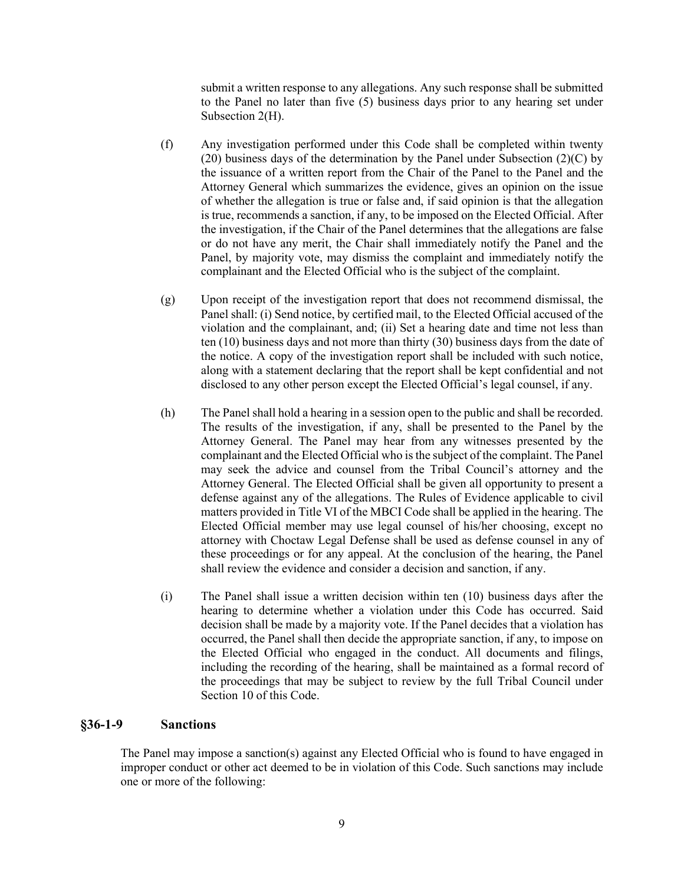submit a written response to any allegations. Any such response shall be submitted to the Panel no later than five (5) business days prior to any hearing set under Subsection 2(H).

- (f) Any investigation performed under this Code shall be completed within twenty (20) business days of the determination by the Panel under Subsection  $(2)(C)$  by the issuance of a written report from the Chair of the Panel to the Panel and the Attorney General which summarizes the evidence, gives an opinion on the issue of whether the allegation is true or false and, if said opinion is that the allegation is true, recommends a sanction, if any, to be imposed on the Elected Official. After the investigation, if the Chair of the Panel determines that the allegations are false or do not have any merit, the Chair shall immediately notify the Panel and the Panel, by majority vote, may dismiss the complaint and immediately notify the complainant and the Elected Official who is the subject of the complaint.
- (g) Upon receipt of the investigation report that does not recommend dismissal, the Panel shall: (i) Send notice, by certified mail, to the Elected Official accused of the violation and the complainant, and; (ii) Set a hearing date and time not less than ten (10) business days and not more than thirty (30) business days from the date of the notice. A copy of the investigation report shall be included with such notice, along with a statement declaring that the report shall be kept confidential and not disclosed to any other person except the Elected Official's legal counsel, if any.
- (h) The Panel shall hold a hearing in a session open to the public and shall be recorded. The results of the investigation, if any, shall be presented to the Panel by the Attorney General. The Panel may hear from any witnesses presented by the complainant and the Elected Official who is the subject of the complaint. The Panel may seek the advice and counsel from the Tribal Council's attorney and the Attorney General. The Elected Official shall be given all opportunity to present a defense against any of the allegations. The Rules of Evidence applicable to civil matters provided in Title VI of the MBCI Code shall be applied in the hearing. The Elected Official member may use legal counsel of his/her choosing, except no attorney with Choctaw Legal Defense shall be used as defense counsel in any of these proceedings or for any appeal. At the conclusion of the hearing, the Panel shall review the evidence and consider a decision and sanction, if any.
- (i) The Panel shall issue a written decision within ten (10) business days after the hearing to determine whether a violation under this Code has occurred. Said decision shall be made by a majority vote. If the Panel decides that a violation has occurred, the Panel shall then decide the appropriate sanction, if any, to impose on the Elected Official who engaged in the conduct. All documents and filings, including the recording of the hearing, shall be maintained as a formal record of the proceedings that may be subject to review by the full Tribal Council under Section 10 of this Code.

#### **§36-1-9 Sanctions**

The Panel may impose a sanction(s) against any Elected Official who is found to have engaged in improper conduct or other act deemed to be in violation of this Code. Such sanctions may include one or more of the following: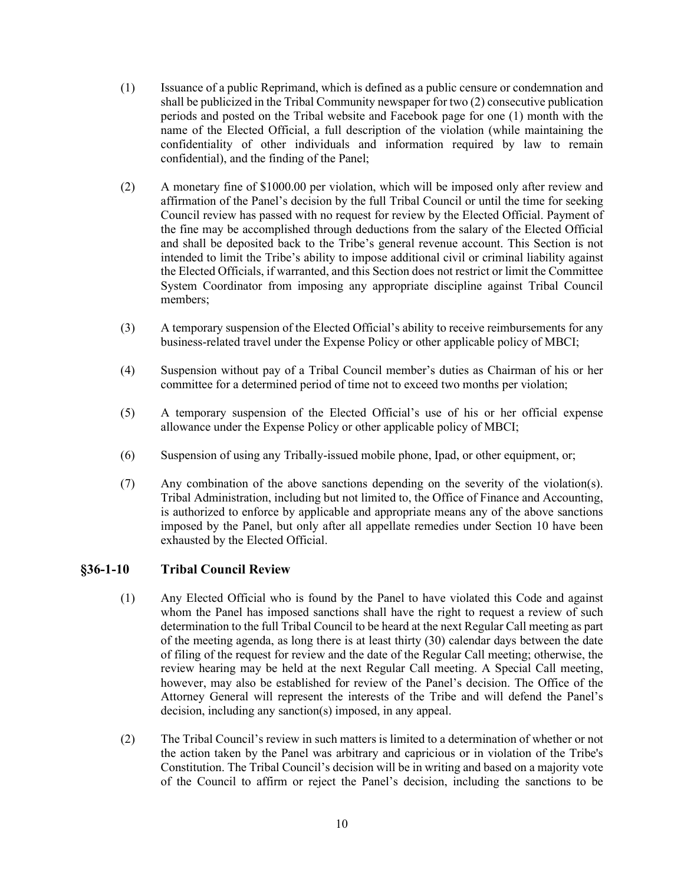- (1) Issuance of a public Reprimand, which is defined as a public censure or condemnation and shall be publicized in the Tribal Community newspaper for two (2) consecutive publication periods and posted on the Tribal website and Facebook page for one (1) month with the name of the Elected Official, a full description of the violation (while maintaining the confidentiality of other individuals and information required by law to remain confidential), and the finding of the Panel;
- (2) A monetary fine of \$1000.00 per violation, which will be imposed only after review and affirmation of the Panel's decision by the full Tribal Council or until the time for seeking Council review has passed with no request for review by the Elected Official. Payment of the fine may be accomplished through deductions from the salary of the Elected Official and shall be deposited back to the Tribe's general revenue account. This Section is not intended to limit the Tribe's ability to impose additional civil or criminal liability against the Elected Officials, if warranted, and this Section does not restrict or limit the Committee System Coordinator from imposing any appropriate discipline against Tribal Council members;
- (3) A temporary suspension of the Elected Official's ability to receive reimbursements for any business-related travel under the Expense Policy or other applicable policy of MBCI;
- (4) Suspension without pay of a Tribal Council member's duties as Chairman of his or her committee for a determined period of time not to exceed two months per violation;
- (5) A temporary suspension of the Elected Official's use of his or her official expense allowance under the Expense Policy or other applicable policy of MBCI;
- (6) Suspension of using any Tribally-issued mobile phone, Ipad, or other equipment, or;
- (7) Any combination of the above sanctions depending on the severity of the violation(s). Tribal Administration, including but not limited to, the Office of Finance and Accounting, is authorized to enforce by applicable and appropriate means any of the above sanctions imposed by the Panel, but only after all appellate remedies under Section 10 have been exhausted by the Elected Official.

# **§36-1-10 Tribal Council Review**

- (1) Any Elected Official who is found by the Panel to have violated this Code and against whom the Panel has imposed sanctions shall have the right to request a review of such determination to the full Tribal Council to be heard at the next Regular Call meeting as part of the meeting agenda, as long there is at least thirty (30) calendar days between the date of filing of the request for review and the date of the Regular Call meeting; otherwise, the review hearing may be held at the next Regular Call meeting. A Special Call meeting, however, may also be established for review of the Panel's decision. The Office of the Attorney General will represent the interests of the Tribe and will defend the Panel's decision, including any sanction(s) imposed, in any appeal.
- (2) The Tribal Council's review in such matters is limited to a determination of whether or not the action taken by the Panel was arbitrary and capricious or in violation of the Tribe's Constitution. The Tribal Council's decision will be in writing and based on a majority vote of the Council to affirm or reject the Panel's decision, including the sanctions to be